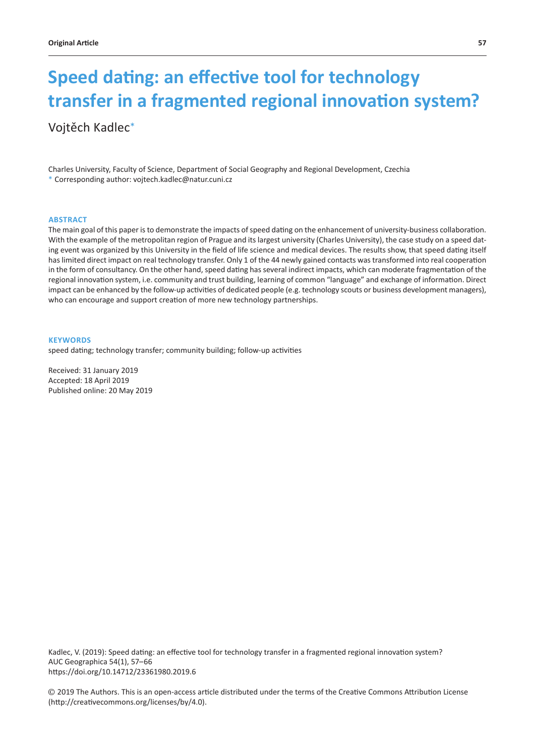# **Speed dating: an effective tool for technology transfer in a fragmented regional innovation system?**

Vojtěch Kadlec\*

Charles University, Faculty of Science, Department of Social Geography and Regional Development, Czechia \* Corresponding author: vojtech.kadlec@natur.cuni.cz

#### **ABSTRACT**

The main goal of this paper is to demonstrate the impacts of speed dating on the enhancement of university-business collaboration. With the example of the metropolitan region of Prague and its largest university (Charles University), the case study on a speed dating event was organized by this University in the field of life science and medical devices. The results show, that speed dating itself has limited direct impact on real technology transfer. Only 1 of the 44 newly gained contacts was transformed into real cooperation in the form of consultancy. On the other hand, speed dating has several indirect impacts, which can moderate fragmentation of the regional innovation system, i.e. community and trust building, learning of common "language" and exchange of information. Direct impact can be enhanced by the follow-up activities of dedicated people (e.g. technology scouts or business development managers), who can encourage and support creation of more new technology partnerships.

#### **KEYWORDS**

speed dating; technology transfer; community building; follow-up activities

Received: 31 January 2019 Accepted: 18 April 2019 Published online: 20 May 2019

Kadlec, V. (2019): Speed dating: an effective tool for technology transfer in a fragmented regional innovation system? AUC Geographica 54(1), 57–66 https://doi.org/10.14712/23361980.2019.6

© 2019 The Authors. This is an open-access article distributed under the terms of the Creative Commons Attribution License (http://creativecommons.org/licenses/by/4.0).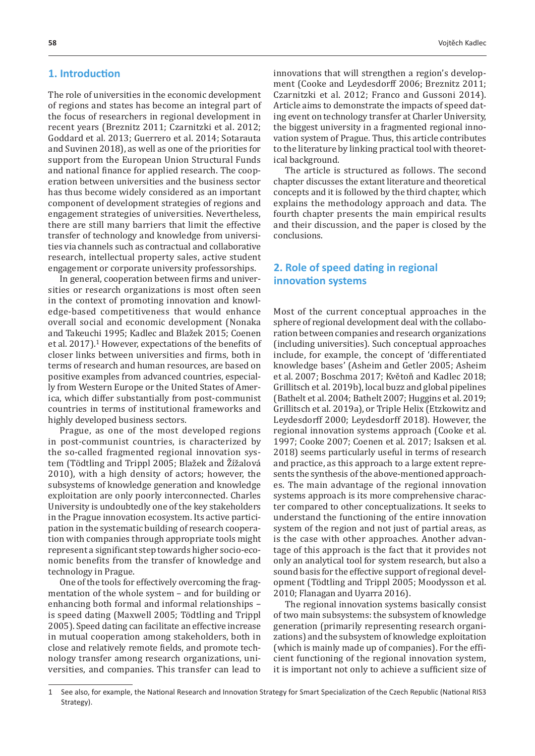## **1. Introduction**

The role of universities in the economic development of regions and states has become an integral part of the focus of researchers in regional development in recent years (Breznitz 2011; Czarnitzki et al. 2012; Goddard et al. 2013; Guerrero et al. 2014; Sotarauta and Suvinen 2018), as well as one of the priorities for support from the European Union Structural Funds and national finance for applied research. The cooperation between universities and the business sector has thus become widely considered as an important component of development strategies of regions and engagement strategies of universities. Nevertheless, there are still many barriers that limit the effective transfer of technology and knowledge from universities via channels such as contractual and collaborative research, intellectual property sales, active student engagement or corporate university professorships.

In general, cooperation between firms and universities or research organizations is most often seen in the context of promoting innovation and knowledge-based competitiveness that would enhance overall social and economic development (Nonaka and Takeuchi 1995; Kadlec and Blažek 2015; Coenen et al. 2017).1 However, expectations of the benefits of closer links between universities and firms, both in terms of research and human resources, are based on positive examples from advanced countries, especially from Western Europe or the United States of America, which differ substantially from post-communist countries in terms of institutional frameworks and highly developed business sectors.

Prague, as one of the most developed regions in post-communist countries, is characterized by the so-called fragmented regional innovation system (Tödtling and Trippl 2005; Blažek and Žížalová 2010), with a high density of actors; however, the subsystems of knowledge generation and knowledge exploitation are only poorly interconnected. Charles University is undoubtedly one of the key stakeholders in the Prague innovation ecosystem. Its active participation in the systematic building of research cooperation with companies through appropriate tools might represent a significant step towards higher socio-economic benefits from the transfer of knowledge and technology in Prague.

One of the tools for effectively overcoming the fragmentation of the whole system – and for building or enhancing both formal and informal relationships – is speed dating (Maxwell 2005; Tödtling and Trippl 2005). Speed dating can facilitate an effective increase in mutual cooperation among stakeholders, both in close and relatively remote fields, and promote technology transfer among research organizations, universities, and companies. This transfer can lead to innovations that will strengthen a region's development (Cooke and Leydesdorff 2006; Breznitz 2011; Czarnitzki et al. 2012; Franco and Gussoni 2014). Article aims to demonstrate the impacts of speed dating event on technology transfer at Charler University, the biggest university in a fragmented regional innovation system of Prague. Thus, this article contributes to the literature by linking practical tool with theoretical background.

The article is structured as follows. The second chapter discusses the extant literature and theoretical concepts and it is followed by the third chapter, which explains the methodology approach and data. The fourth chapter presents the main empirical results and their discussion, and the paper is closed by the conclusions.

## **2. Role of speed dating in regional innovation systems**

Most of the current conceptual approaches in the sphere of regional development deal with the collaboration between companies and research organizations (including universities). Such conceptual approaches include, for example, the concept of 'differentiated knowledge bases' (Asheim and Getler 2005; Asheim et al. 2007; Boschma 2017; Květoň and Kadlec 2018; Grillitsch et al. 2019b), local buzz and global pipelines (Bathelt et al. 2004; Bathelt 2007; Huggins et al. 2019; Grillitsch et al. 2019a), or Triple Helix (Etzkowitz and Leydesdorff 2000; Leydesdorff 2018). However, the regional innovation systems approach (Cooke et al. 1997; Cooke 2007; Coenen et al. 2017; Isaksen et al. 2018) seems particularly useful in terms of research and practice, as this approach to a large extent represents the synthesis of the above-mentioned approaches. The main advantage of the regional innovation systems approach is its more comprehensive character compared to other conceptualizations. It seeks to understand the functioning of the entire innovation system of the region and not just of partial areas, as is the case with other approaches. Another advantage of this approach is the fact that it provides not only an analytical tool for system research, but also a sound basis for the effective support of regional development (Tödtling and Trippl 2005; Moodysson et al. 2010; Flanagan and Uyarra 2016).

The regional innovation systems basically consist of two main subsystems: the subsystem of knowledge generation (primarily representing research organizations) and the subsystem of knowledge exploitation (which is mainly made up of companies). For the efficient functioning of the regional innovation system, it is important not only to achieve a sufficient size of

<sup>1</sup> See also, for example, the National Research and Innovation Strategy for Smart Specialization of the Czech Republic (National RIS3 Strategy).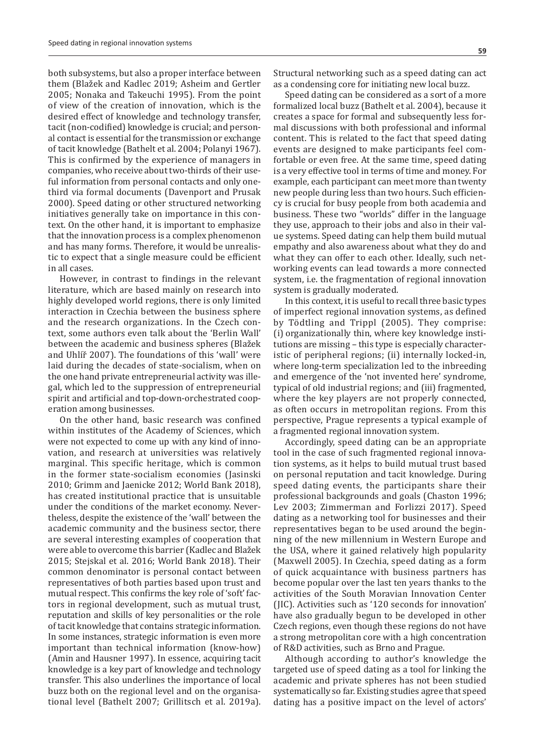both subsystems, but also a proper interface between them (Blažek and Kadlec 2019; Asheim and Gertler 2005; Nonaka and Takeuchi 1995). From the point of view of the creation of innovation, which is the desired effect of knowledge and technology transfer, tacit (non-codified) knowledge is crucial; and personal contact is essential for the transmission or exchange of tacit knowledge (Bathelt et al. 2004; Polanyi 1967). This is confirmed by the experience of managers in companies, who receive about two-thirds of their useful information from personal contacts and only onethird via formal documents (Davenport and Prusak 2000). Speed dating or other structured networking initiatives generally take on importance in this context. On the other hand, it is important to emphasize that the innovation process is a complex phenomenon and has many forms. Therefore, it would be unrealistic to expect that a single measure could be efficient in all cases.

However, in contrast to findings in the relevant literature, which are based mainly on research into highly developed world regions, there is only limited interaction in Czechia between the business sphere and the research organizations. In the Czech context, some authors even talk about the 'Berlin Wall' between the academic and business spheres (Blažek and Uhlíř 2007). The foundations of this 'wall' were laid during the decades of state-socialism, when on the one hand private entrepreneurial activity was illegal, which led to the suppression of entrepreneurial spirit and artificial and top-down-orchestrated cooperation among businesses.

On the other hand, basic research was confined within institutes of the Academy of Sciences, which were not expected to come up with any kind of innovation, and research at universities was relatively marginal. This specific heritage, which is common in the former state-socialism economies (Jasinski 2010; Grimm and Jaenicke 2012; World Bank 2018), has created institutional practice that is unsuitable under the conditions of the market economy. Nevertheless, despite the existence of the 'wall' between the academic community and the business sector, there are several interesting examples of cooperation that were able to overcome this barrier (Kadlec and Blažek 2015; Stejskal et al. 2016; World Bank 2018). Their common denominator is personal contact between representatives of both parties based upon trust and mutual respect. This confirms the key role of 'soft' factors in regional development, such as mutual trust, reputation and skills of key personalities or the role of tacit knowledge that contains strategic information. In some instances, strategic information is even more important than technical information (know-how) (Amin and Hausner 1997). In essence, acquiring tacit knowledge is a key part of knowledge and technology transfer. This also underlines the importance of local buzz both on the regional level and on the organisational level (Bathelt 2007; Grillitsch et al. 2019a). Structural networking such as a speed dating can act as a condensing core for initiating new local buzz.

Speed dating can be considered as a sort of a more formalized local buzz (Bathelt et al. 2004), because it creates a space for formal and subsequently less formal discussions with both professional and informal content. This is related to the fact that speed dating events are designed to make participants feel comfortable or even free. At the same time, speed dating is a very effective tool in terms of time and money. For example, each participant can meet more than twenty new people during less than two hours. Such efficiency is crucial for busy people from both academia and business. These two "worlds" differ in the language they use, approach to their jobs and also in their value systems. Speed dating can help them build mutual empathy and also awareness about what they do and what they can offer to each other. Ideally, such networking events can lead towards a more connected system, i.e. the fragmentation of regional innovation system is gradually moderated.

In this context, it is useful to recall three basic types of imperfect regional innovation systems, as defined by Tödtling and Trippl (2005). They comprise: (i) organizationally thin, where key knowledge institutions are missing – this type is especially characteristic of peripheral regions; (ii) internally locked-in, where long-term specialization led to the inbreeding and emergence of the 'not invented here' syndrome, typical of old industrial regions; and (iii) fragmented, where the key players are not properly connected, as often occurs in metropolitan regions. From this perspective, Prague represents a typical example of a fragmented regional innovation system.

Accordingly, speed dating can be an appropriate tool in the case of such fragmented regional innovation systems, as it helps to build mutual trust based on personal reputation and tacit knowledge. During speed dating events, the participants share their professional backgrounds and goals (Chaston 1996; Lev 2003; Zimmerman and Forlizzi 2017). Speed dating as a networking tool for businesses and their representatives began to be used around the beginning of the new millennium in Western Europe and the USA, where it gained relatively high popularity (Maxwell 2005). In Czechia, speed dating as a form of quick acquaintance with business partners has become popular over the last ten years thanks to the activities of the South Moravian Innovation Center (JIC). Activities such as '120 seconds for innovation' have also gradually begun to be developed in other Czech regions, even though these regions do not have a strong metropolitan core with a high concentration of R&D activities, such as Brno and Prague.

Although according to author's knowledge the targeted use of speed dating as a tool for linking the academic and private spheres has not been studied systematically so far. Existing studies agree that speed dating has a positive impact on the level of actors'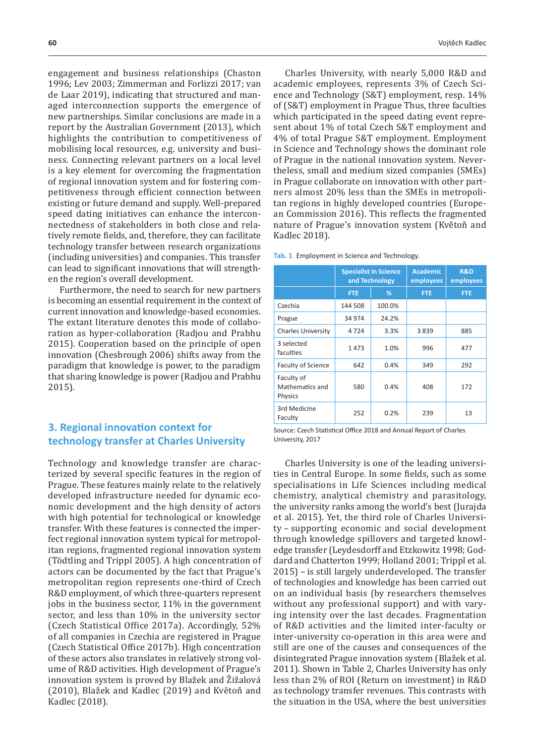engagement and business relationships (Chaston 1996; Lev 2003; Zimmerman and Forlizzi 2017; van de Laar 2019), indicating that structured and managed interconnection supports the emergence of new partnerships. Similar conclusions are made in a report by the Australian Government (2013), which highlights the contribution to competitiveness of mobilising local resources, e.g. university and business. Connecting relevant partners on a local level is a key element for overcoming the fragmentation of regional innovation system and for fostering competitiveness through efficient connection between existing or future demand and supply. Well-prepared speed dating initiatives can enhance the interconnectedness of stakeholders in both close and relatively remote fields, and, therefore, they can facilitate technology transfer between research organizations (including universities) and companies. This transfer can lead to significant innovations that will strengthen the region's overall development.

Furthermore, the need to search for new partners is becoming an essential requirement in the context of current innovation and knowledge-based economies. The extant literature denotes this mode of collaboration as hyper-collaboration (Radjou and Prabhu 2015). Cooperation based on the principle of open innovation (Chesbrough 2006) shifts away from the paradigm that knowledge is power, to the paradigm that sharing knowledge is power (Radjou and Prabhu 2015).

## **3. Regional innovation context for technology transfer at Charles University**

Technology and knowledge transfer are characterized by several specific features in the region of Prague. These features mainly relate to the relatively developed infrastructure needed for dynamic economic development and the high density of actors with high potential for technological or knowledge transfer. With these features is connected the imperfect regional innovation system typical for metropolitan regions, fragmented regional innovation system (Tödtling and Trippl 2005). A high concentration of actors can be documented by the fact that Prague's metropolitan region represents one-third of Czech R&D employment, of which three-quarters represent jobs in the business sector, 11% in the government sector, and less than 10% in the university sector (Czech Statistical Office 2017a). Accordingly, 52% of all companies in Czechia are registered in Prague (Czech Statistical Office 2017b). High concentration of these actors also translates in relatively strong volume of R&D activities. High development of Prague's innovation system is proved by Blažek and Žižalová (2010), Blažek and Kadlec (2019) and Květoň and Kadlec (2018).

Charles University, with nearly 5,000 R&D and academic employees, represents 3% of Czech Science and Technology (S&T) employment, resp. 14% of (S&T) employment in Prague Thus, three faculties which participated in the speed dating event represent about 1% of total Czech S&T employment and 4% of total Prague S&T employment. Employment in Science and Technology shows the dominant role of Prague in the national innovation system. Nevertheless, small and medium sized companies (SMEs) in Prague collaborate on innovation with other partners almost 20% less than the SMEs in metropolitan regions in highly developed countries (European Commission 2016). This reflects the fragmented nature of Prague's innovation system (Květoň and Kadlec 2018).

**Tab. 1** Employment in Science and Technology.

|                                          | <b>Specialist in Science</b><br>and Technology |        | <b>Academic</b><br>employees | <b>R&amp;D</b><br>employees |
|------------------------------------------|------------------------------------------------|--------|------------------------------|-----------------------------|
|                                          | <b>FTE</b>                                     | %      | <b>FTE</b>                   | <b>FTE</b>                  |
| Czechia                                  | 144 508                                        | 100.0% |                              |                             |
| Prague                                   | 34 974                                         | 24.2%  |                              |                             |
| <b>Charles University</b>                | 4724                                           | 3.3%   | 3839                         | 885                         |
| 3 selected<br>faculties                  | 1473                                           | 1.0%   | 996                          | 477                         |
| <b>Faculty of Science</b>                | 642                                            | 0.4%   | 349                          | 292                         |
| Faculty of<br>Mathematics and<br>Physics | 580                                            | 0.4%   | 408                          | 172                         |
| 3rd Medicine<br>Faculty                  | 252                                            | 0.2%   | 239                          | 13                          |

Source: Czech Statistical Office 2018 and Annual Report of Charles University, 2017

Charles University is one of the leading universities in Central Europe. In some fields, such as some specialisations in Life Sciences including medical chemistry, analytical chemistry and parasitology, the university ranks among the world's best (Jurajda et al. 2015). Yet, the third role of Charles University – supporting economic and social development through knowledge spillovers and targeted knowledge transfer (Leydesdorff and Etzkowitz 1998; Goddard and Chatterton 1999; Holland 2001; Trippl et al. 2015) – is still largely underdeveloped. The transfer of technologies and knowledge has been carried out on an individual basis (by researchers themselves without any professional support) and with varying intensity over the last decades. Fragmentation of R&D activities and the limited inter-faculty or inter-university co-operation in this area were and still are one of the causes and consequences of the disintegrated Prague innovation system (Blažek et al. 2011). Shown in Table 2, Charles University has only less than 2% of ROI (Return on investment) in R&D as technology transfer revenues. This contrasts with the situation in the USA, where the best universities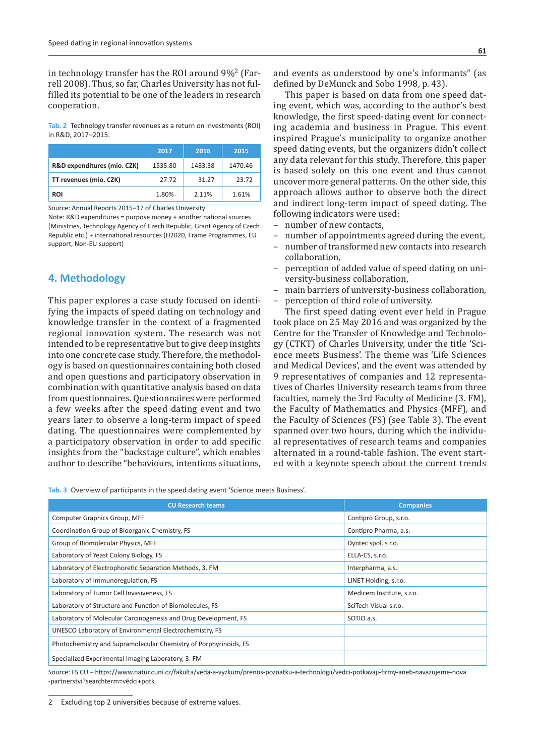in technology transfer has the ROI around 9%2 (Farrell 2008). Thus, so far, Charles University has not fulfilled its potential to be one of the leaders in research cooperation.

**Tab. 2** Technology transfer revenues as a return on investments (ROI) in R&D, 2017–2015.

|                             | 2017    | 2016    | 2015    |
|-----------------------------|---------|---------|---------|
| R&D expenditures (mio. CZK) | 1535.80 | 1483.38 | 1470.46 |
| TT revenues (mio. CZK)      | 27.72   | 31.27   | 23.72   |
| <b>ROI</b>                  | 1.80%   | 2.11%   | 1.61%   |

Source: Annual Reports 2015–17 of Charles University

Note: R&D expenditures = purpose money + another national sources (Ministries, Technology Agency of Czech Republic, Grant Agency of Czech Republic etc.) + international resources (H2020, Frame Programmes, EU support, Non-EU support)

#### **4. Methodology**

This paper explores a case study focused on identifying the impacts of speed dating on technology and knowledge transfer in the context of a fragmented regional innovation system. The research was not intended to be representative but to give deep insights into one concrete case study. Therefore, the methodology is based on questionnaires containing both closed and open questions and participatory observation in combination with quantitative analysis based on data from questionnaires. Questionnaires were performed a few weeks after the speed dating event and two years later to observe a long-term impact of speed dating. The questionnaires were complemented by a participatory observation in order to add specific insights from the "backstage culture", which enables author to describe "behaviours, intentions situations,

and events as understood by one's informants" (as defined by DeMunck and Sobo 1998, p. 43).

This paper is based on data from one speed dating event, which was, according to the author's best knowledge, the first speed-dating event for connecting academia and business in Prague. This event inspired Prague's municipality to organize another speed dating events, but the organizers didn't collect any data relevant for this study. Therefore, this paper is based solely on this one event and thus cannot uncover more general patterns. On the other side, this approach allows author to observe both the direct and indirect long-term impact of speed dating. The following indicators were used:

- number of new contacts,
- number of appointments agreed during the event,
- number of transformed new contacts into research collaboration,
- perception of added value of speed dating on university-business collaboration,
- main barriers of university-business collaboration, – perception of third role of university.

The first speed dating event ever held in Prague took place on 25 May 2016 and was organized by the Centre for the Transfer of Knowledge and Technology (CTKT) of Charles University, under the title 'Science meets Business'. The theme was 'Life Sciences and Medical Devices', and the event was attended by 9 representatives of companies and 12 representatives of Charles University research teams from three faculties, namely the 3rd Faculty of Medicine (3. FM), the Faculty of Mathematics and Physics (MFF), and the Faculty of Sciences (FS) (see Table 3). The event spanned over two hours, during which the individual representatives of research teams and companies alternated in a round-table fashion. The event started with a keynote speech about the current trends

**Tab. 3** Overview of participants in the speed dating event 'Science meets Business'.

| <b>CU Research teams</b>                                         | <b>Companies</b>          |
|------------------------------------------------------------------|---------------------------|
| Computer Graphics Group, MFF                                     | Contipro Group, s.r.o.    |
| Coordination Group of Bioorganic Chemistry, FS                   | Contipro Pharma, a.s.     |
| Group of Biomolecular Physics, MFF                               | Dyntec spol. s r.o.       |
| Laboratory of Yeast Colony Biology, FS                           | ELLA-CS, s.r.o.           |
| Laboratory of Electrophoretic Separation Methods, 3. FM          | Interpharma, a.s.         |
| Laboratory of Immunoregulation, FS                               | LINET Holding, s.r.o.     |
| Laboratory of Tumor Cell Invasiveness, FS                        | Medicem Institute, s.r.o. |
| Laboratory of Structure and Function of Biomolecules, FS         | SciTech Visual s.r.o.     |
| Laboratory of Molecular Carcinogenesis and Drug Development, FS  | SOTIO a.s.                |
| UNESCO Laboratory of Environmental Electrochemistry, FS          |                           |
| Photochemistry and Supramolecular Chemistry of Porphyrinoids, FS |                           |
| Specialized Experimental Imaging Laboratory, 3. FM               |                           |

Source: FS CU – https://www.natur.cuni.cz/fakulta/veda-a-vyzkum/prenos-poznatku-a-technologii/vedci-potkavaji-firmy-aneb-navazujeme-nova -partnerstvi?searchterm=vědci+potk

<sup>2</sup> Excluding top 2 universities because of extreme values.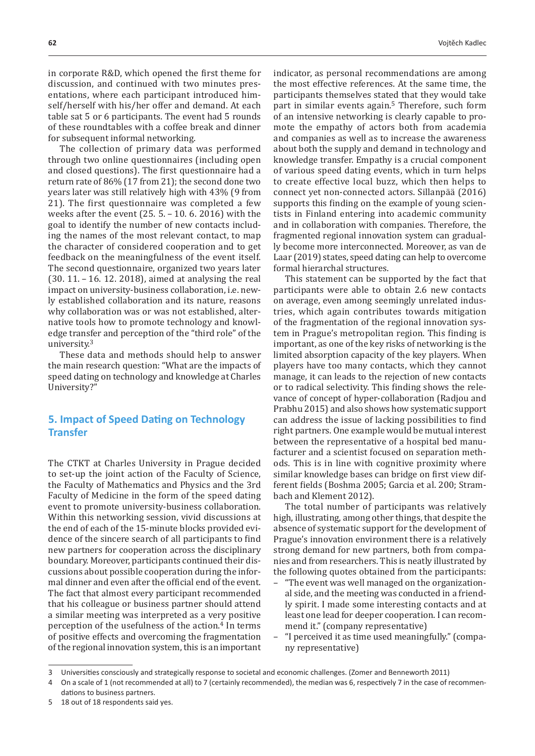in corporate R&D, which opened the first theme for discussion, and continued with two minutes presentations, where each participant introduced himself/herself with his/her offer and demand. At each table sat 5 or 6 participants. The event had 5 rounds of these roundtables with a coffee break and dinner for subsequent informal networking.

The collection of primary data was performed through two online questionnaires (including open and closed questions). The first questionnaire had a return rate of 86% (17 from 21); the second done two years later was still relatively high with 43% (9 from 21). The first questionnaire was completed a few weeks after the event (25. 5. – 10. 6. 2016) with the goal to identify the number of new contacts including the names of the most relevant contact, to map the character of considered cooperation and to get feedback on the meaningfulness of the event itself. The second questionnaire, organized two years later (30. 11. – 16. 12. 2018), aimed at analysing the real impact on university-business collaboration, i.e. newly established collaboration and its nature, reasons why collaboration was or was not established, alternative tools how to promote technology and knowledge transfer and perception of the "third role" of the university.<sup>3</sup>

These data and methods should help to answer the main research question: "What are the impacts of speed dating on technology and knowledge at Charles University?"

# **5. Impact of Speed Dating on Technology Transfer**

The CTKT at Charles University in Prague decided to set-up the joint action of the Faculty of Science, the Faculty of Mathematics and Physics and the 3rd Faculty of Medicine in the form of the speed dating event to promote university-business collaboration. Within this networking session, vivid discussions at the end of each of the 15-minute blocks provided evidence of the sincere search of all participants to find new partners for cooperation across the disciplinary boundary. Moreover, participants continued their discussions about possible cooperation during the informal dinner and even after the official end of the event. The fact that almost every participant recommended that his colleague or business partner should attend a similar meeting was interpreted as a very positive perception of the usefulness of the action.4 In terms of positive effects and overcoming the fragmentation of the regional innovation system, this is an important indicator, as personal recommendations are among the most effective references. At the same time, the participants themselves stated that they would take part in similar events again.<sup>5</sup> Therefore, such form of an intensive networking is clearly capable to promote the empathy of actors both from academia and companies as well as to increase the awareness about both the supply and demand in technology and knowledge transfer. Empathy is a crucial component of various speed dating events, which in turn helps to create effective local buzz, which then helps to connect yet non-connected actors. Sillanpää (2016) supports this finding on the example of young scientists in Finland entering into academic community and in collaboration with companies. Therefore, the fragmented regional innovation system can gradually become more interconnected. Moreover, as van de Laar (2019) states, speed dating can help to overcome formal hierarchal structures.

This statement can be supported by the fact that participants were able to obtain 2.6 new contacts on average, even among seemingly unrelated industries, which again contributes towards mitigation of the fragmentation of the regional innovation system in Prague's metropolitan region. This finding is important, as one of the key risks of networking is the limited absorption capacity of the key players. When players have too many contacts, which they cannot manage, it can leads to the rejection of new contacts or to radical selectivity. This finding shows the relevance of concept of hyper-collaboration (Radjou and Prabhu 2015) and also shows how systematic support can address the issue of lacking possibilities to find right partners. One example would be mutual interest between the representative of a hospital bed manufacturer and a scientist focused on separation methods. This is in line with cognitive proximity where similar knowledge bases can bridge on first view different fields (Boshma 2005; Garcia et al. 200; Strambach and Klement 2012).

The total number of participants was relatively high, illustrating, among other things, that despite the absence of systematic support for the development of Prague's innovation environment there is a relatively strong demand for new partners, both from companies and from researchers. This is neatly illustrated by the following quotes obtained from the participants:

- "The event was well managed on the organizational side, and the meeting was conducted in a friendly spirit. I made some interesting contacts and at least one lead for deeper cooperation. I can recommend it." (company representative)
- "I perceived it as time used meaningfully." (company representative)

<sup>3</sup> Universities consciously and strategically response to societal and economic challenges. (Zomer and Benneworth 2011)

<sup>4</sup> On a scale of 1 (not recommended at all) to 7 (certainly recommended), the median was 6, respectively 7 in the case of recommen-

dations to business partners.

<sup>5</sup> 18 out of 18 respondents said yes.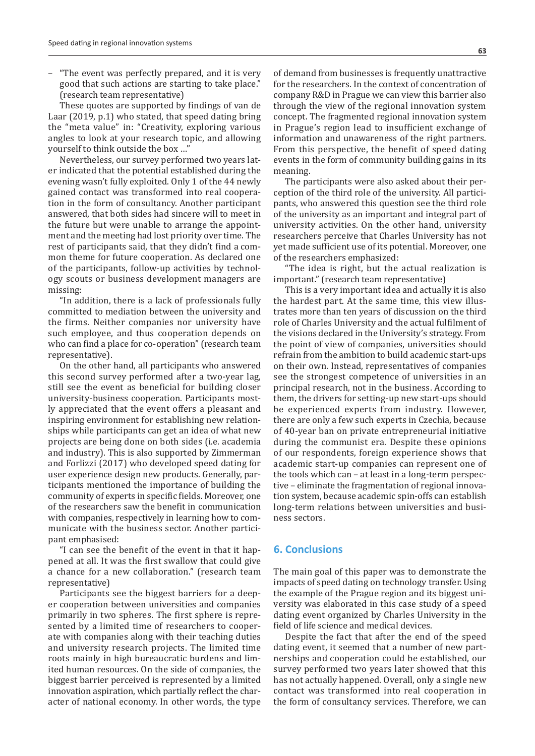– "The event was perfectly prepared, and it is very good that such actions are starting to take place." (research team representative)

These quotes are supported by findings of van de Laar (2019, p.1) who stated, that speed dating bring the "meta value" in: "Creativity, exploring various angles to look at your research topic, and allowing yourself to think outside the box ...'

Nevertheless, our survey performed two years later indicated that the potential established during the evening wasn't fully exploited. Only 1 of the 44 newly gained contact was transformed into real cooperation in the form of consultancy. Another participant answered, that both sides had sincere will to meet in the future but were unable to arrange the appointment and the meeting had lost priority over time. The rest of participants said, that they didn't find a common theme for future cooperation. As declared one of the participants, follow-up activities by technology scouts or business development managers are missing:

"In addition, there is a lack of professionals fully committed to mediation between the university and the firms. Neither companies nor university have such employee, and thus cooperation depends on who can find a place for co-operation" (research team representative).

On the other hand, all participants who answered this second survey performed after a two-year lag, still see the event as beneficial for building closer university-business cooperation. Participants mostly appreciated that the event offers a pleasant and inspiring environment for establishing new relationships while participants can get an idea of what new projects are being done on both sides (i.e. academia and industry). This is also supported by Zimmerman and Forlizzi (2017) who developed speed dating for user experience design new products. Generally, participants mentioned the importance of building the community of experts in specific fields. Moreover, one of the researchers saw the benefit in communication with companies, respectively in learning how to communicate with the business sector. Another participant emphasised:

"I can see the benefit of the event in that it happened at all. It was the first swallow that could give a chance for a new collaboration." (research team representative)

Participants see the biggest barriers for a deeper cooperation between universities and companies primarily in two spheres. The first sphere is represented by a limited time of researchers to cooperate with companies along with their teaching duties and university research projects. The limited time roots mainly in high bureaucratic burdens and limited human resources. On the side of companies, the biggest barrier perceived is represented by a limited innovation aspiration, which partially reflect the character of national economy. In other words, the type

of demand from businesses is frequently unattractive for the researchers. In the context of concentration of company R&D in Prague we can view this barrier also through the view of the regional innovation system concept. The fragmented regional innovation system in Prague's region lead to insufficient exchange of information and unawareness of the right partners. From this perspective, the benefit of speed dating events in the form of community building gains in its meaning.

The participants were also asked about their perception of the third role of the university. All participants, who answered this question see the third role of the university as an important and integral part of university activities. On the other hand, university researchers perceive that Charles University has not yet made sufficient use of its potential. Moreover, one of the researchers emphasized:

"The idea is right, but the actual realization is important." (research team representative)

This is a very important idea and actually it is also the hardest part. At the same time, this view illustrates more than ten years of discussion on the third role of Charles University and the actual fulfilment of the visions declared in the University's strategy. From the point of view of companies, universities should refrain from the ambition to build academic start-ups on their own. Instead, representatives of companies see the strongest competence of universities in an principal research, not in the business. According to them, the drivers for setting-up new start-ups should be experienced experts from industry. However, there are only a few such experts in Czechia, because of 40-year ban on private entrepreneurial initiative during the communist era. Despite these opinions of our respondents, foreign experience shows that academic start-up companies can represent one of the tools which can – at least in a long-term perspective – eliminate the fragmentation of regional innovation system, because academic spin-offs can establish long-term relations between universities and business sectors.

### **6. Conclusions**

The main goal of this paper was to demonstrate the impacts of speed dating on technology transfer. Using the example of the Prague region and its biggest university was elaborated in this case study of a speed dating event organized by Charles University in the field of life science and medical devices.

Despite the fact that after the end of the speed dating event, it seemed that a number of new partnerships and cooperation could be established, our survey performed two years later showed that this has not actually happened. Overall, only a single new contact was transformed into real cooperation in the form of consultancy services. Therefore, we can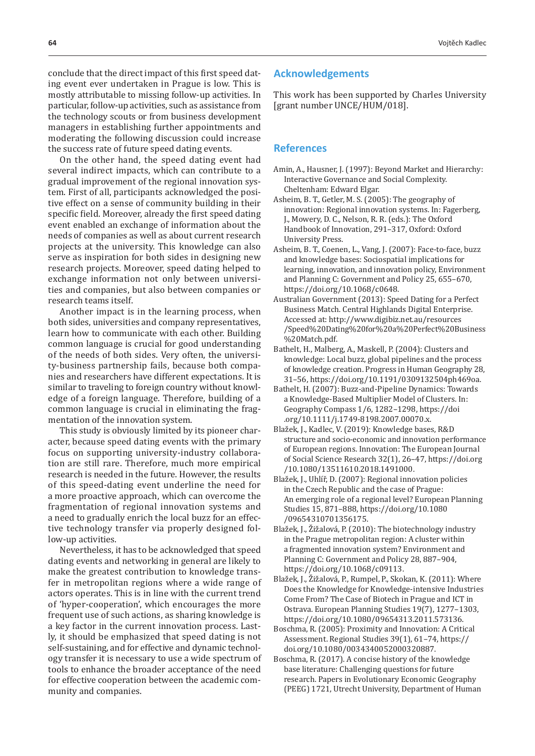conclude that the direct impact of this first speed dating event ever undertaken in Prague is low. This is mostly attributable to missing follow-up activities. In particular, follow-up activities, such as assistance from the technology scouts or from business development managers in establishing further appointments and moderating the following discussion could increase the success rate of future speed dating events.

On the other hand, the speed dating event had several indirect impacts, which can contribute to a gradual improvement of the regional innovation system. First of all, participants acknowledged the positive effect on a sense of community building in their specific field. Moreover, already the first speed dating event enabled an exchange of information about the needs of companies as well as about current research projects at the university. This knowledge can also serve as inspiration for both sides in designing new research projects. Moreover, speed dating helped to exchange information not only between universities and companies, but also between companies or research teams itself.

Another impact is in the learning process, when both sides, universities and company representatives, learn how to communicate with each other. Building common language is crucial for good understanding of the needs of both sides. Very often, the university-business partnership fails, because both companies and researchers have different expectations. It is similar to traveling to foreign country without knowledge of a foreign language. Therefore, building of a common language is crucial in eliminating the fragmentation of the innovation system.

This study is obviously limited by its pioneer character, because speed dating events with the primary focus on supporting university-industry collaboration are still rare. Therefore, much more empirical research is needed in the future. However, the results of this speed-dating event underline the need for a more proactive approach, which can overcome the fragmentation of regional innovation systems and a need to gradually enrich the local buzz for an effective technology transfer via properly designed follow-up activities.

Nevertheless, it has to be acknowledged that speed dating events and networking in general are likely to make the greatest contribution to knowledge transfer in metropolitan regions where a wide range of actors operates. This is in line with the current trend of 'hyper-cooperation', which encourages the more frequent use of such actions, as sharing knowledge is a key factor in the current innovation process. Lastly, it should be emphasized that speed dating is not self-sustaining, and for effective and dynamic technology transfer it is necessary to use a wide spectrum of tools to enhance the broader acceptance of the need for effective cooperation between the academic community and companies.

## **Acknowledgements**

This work has been supported by Charles University [grant number UNCE/HUM/018].

#### **References**

- Amin, A., Hausner, J. (1997): Beyond Market and Hierarchy: Interactive Governance and Social Complexity. Cheltenham: Edward Elgar.
- Asheim, B. T., Getler, M. S. (2005): The geography of innovation: Regional innovation systems. In: Fagerberg, J., Mowery, D. C., Nelson, R. R. (eds.): The Oxford Handbook of Innovation, 291–317, Oxford: Oxford University Press.
- Asheim, B. T., Coenen, L., Vang, J. (2007): Face-to-face, buzz and knowledge bases: Sociospatial implications for learning, innovation, and innovation policy, Environment and Planning C: Government and Policy 25, 655–670, https://doi.org/10.1068/c0648.
- Australian Government (2013): Speed Dating for a Perfect Business Match. Central Highlands Digital Enterprise. Accessed at: http://www.digibiz.net.au/resources /Speed%20Dating%20for%20a%20Perfect%20Business %20Match.pdf.
- Bathelt, H., Malberg, A., Maskell, P. (2004): Clusters and knowledge: Local buzz, global pipelines and the process of knowledge creation. Progress in Human Geography 28, 31–56, https://doi.org/10.1191/0309132504ph469oa.
- Bathelt, H. (2007): Buzz-and-Pipeline Dynamics: Towards a Knowledge-Based Multiplier Model of Clusters. In: Geography Compass 1/6, 1282–1298, https://doi .org/10.1111/j.1749-8198.2007.00070.x.
- Blažek, J., Kadlec, V. (2019): Knowledge bases, R&D structure and socio-economic and innovation performance of European regions. Innovation: The European Journal of Social Science Research 32(1), 26–47, https://doi.org /10.1080/13511610.2018.1491000.
- Blažek, J., Uhlíř, D. (2007): Regional innovation policies in the Czech Republic and the case of Prague: An emerging role of a regional level? European Planning Studies 15, 871–888, https://doi.org/10.1080 /09654310701356175.
- Blažek, J., Žižalová, P. (2010): The biotechnology industry in the Prague metropolitan region: A cluster within a fragmented innovation system? Environment and Planning C: Government and Policy 28, 887–904, https://doi.org/10.1068/c09113.
- Blažek, J., Žižalová, P., Rumpel, P., Skokan, K. (2011): Where Does the Knowledge for Knowledge-intensive Industries Come From? The Case of Biotech in Prague and ICT in Ostrava. European Planning Studies 19(7), 1277–1303, https://doi.org/10.1080/09654313.2011.573136.
- Boschma, R. (2005): Proximity and Innovation: A Critical Assessment. Regional Studies 39(1), 61–74, https:// doi.org/10.1080/0034340052000320887.
- Boschma, R. (2017). A concise history of the knowledge base literature: Challenging questions for future research. Papers in Evolutionary Economic Geography (PEEG) 1721, Utrecht University, Department of Human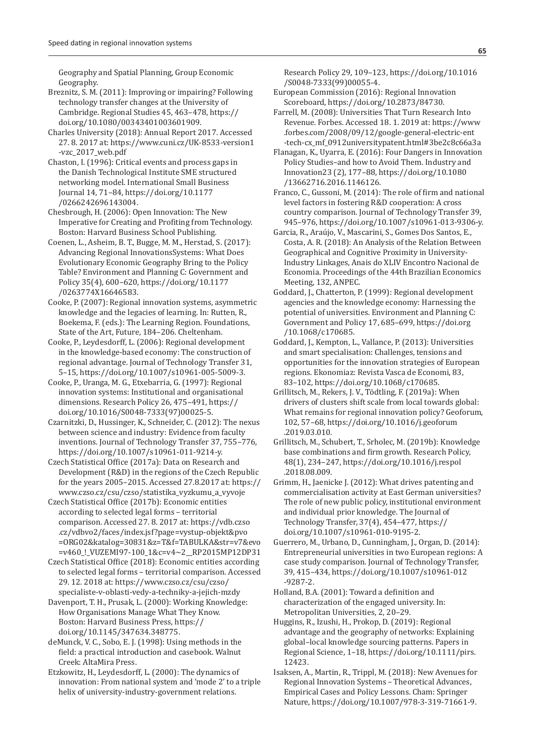Geography and Spatial Planning, Group Economic Geography.

- Breznitz, S. M. (2011): Improving or impairing? Following technology transfer changes at the University of Cambridge. Regional Studies 45, 463–478, https:// doi.org/10.1080/00343401003601909.
- Charles University (2018): Annual Report 2017. Accessed 27. 8. 2017 at: https://www.cuni.cz/UK-8533-version1 -vzc\_2017\_web.pdf
- Chaston, I. (1996): Critical events and process gaps in the Danish Technological Institute SME structured networking model. International Small Business Journal 14, 71–84, https://doi.org/10.1177 /0266242696143004.
- Chesbrough, H. (2006): Open Innovation: The New Imperative for Creating and Profiting from Technology. Boston: Harvard Business School Publishing.
- Coenen, L., Asheim, B. T., Bugge, M. M., Herstad, S. (2017): Advancing Regional InnovationsSystems: What Does Evolutionary Economic Geography Bring to the Policy Table? Environment and Planning C: Government and Policy 35(4), 600–620, https://doi.org/10.1177 /0263774X16646583.
- Cooke, P. (2007): Regional innovation systems, asymmetric knowledge and the legacies of learning. In: Rutten, R., Boekema, F. (eds.): The Learning Region. Foundations, State of the Art, Future, 184–206. Cheltenham.
- Cooke, P., Leydesdorff, L. (2006): Regional development in the knowledge-based economy: The construction of regional advantage. Journal of Technology Transfer 31, 5–15, https://doi.org/10.1007/s10961-005-5009-3.
- Cooke, P., Uranga, M. G., Etxebarria, G. (1997): Regional innovation systems: Institutional and organisational dimensions. Research Policy 26, 475–491, https:// doi.org/10.1016/S0048-7333(97)00025-5.
- Czarnitzki, D., Hussinger, K., Schneider, C. (2012): The nexus between science and industry: Evidence from faculty inventions. Journal of Technology Transfer 37, 755–776, https://doi.org/10.1007/s10961-011-9214-y.
- Czech Statistical Office (2017a): Data on Research and Development (R&D) in the regions of the Czech Republic for the years 2005–2015. Accessed 27.8.2017 at: https:// www.czso.cz/csu/czso/statistika\_vyzkumu\_a\_vyvoje
- Czech Statistical Office (2017b): Economic entities according to selected legal forms – territorial comparison. Accessed 27. 8. 2017 at: https://vdb.czso .cz/vdbvo2/faces/index.jsf?page=vystup-objekt&pvo =ORG02&katalog=30831&z=T&f=TABULKA&str=v7&evo =v460\_!\_VUZEMI97-100\_1&c=v4~2\_\_RP2015MP12DP31
- Czech Statistical Office (2018): Economic entities according to selected legal forms – territorial comparison. Accessed 29. 12. 2018 at: https://www.czso.cz/csu/czso/ specialiste-v-oblasti-vedy-a-techniky-a-jejich-mzdy
- Davenport, T. H., Prusak, L. (2000): Working Knowledge: How Organisations Manage What They Know. Boston: Harvard Business Press, https:// doi.org/10.1145/347634.348775.
- deMunck, V. C., Sobo, E. J. (1998): Using methods in the field: a practical introduction and casebook. Walnut Creek: AltaMira Press.
- Etzkowitz, H., Leydesdorff, L. (2000): The dynamics of innovation: From national system and 'mode 2' to a triple helix of university-industry-government relations.
- Research Policy 29, 109–123, https://doi.org/10.1016 /S0048-7333(99)00055-4.
- European Commission (2016): Regional Innovation Scoreboard, https://doi.org/10.2873/84730.
- Farrell, M. (2008): Universities That Turn Research Into Revenue. Forbes. Accessed 18. 1. 2019 at: https://www .forbes.com/2008/09/12/google-general-electric-ent -tech-cx\_mf\_0912universitypatent.html#3be2c8c66a3a
- Flanagan, K., Uyarra, E. (2016): Four Dangers in Innovation Policy Studies–and how to Avoid Them. Industry and Innovation23 (2), 177–88, https://doi.org/10.1080 /13662716.2016.1146126.
- Franco, C., Gussoni, M. (2014): The role of firm and national level factors in fostering R&D cooperation: A cross country comparison. Journal of Technology Transfer 39, 945–976, https://doi.org/10.1007/s10961-013-9306-y.
- Garcia, R., Araújo, V., Mascarini, S., Gomes Dos Santos, E., Costa, A. R. (2018): An Analysis of the Relation Between Geographical and Cognitive Proximity in University-Industry Linkages, Anais do XLIV Encontro Nacional de Economia. Proceedings of the 44th Brazilian Economics Meeting, 132, ANPEC.
- Goddard, J., Chatterton, P. (1999): Regional development agencies and the knowledge economy: Harnessing the potential of universities. Environment and Planning C: Government and Policy 17, 685–699, https://doi.org /10.1068/c170685.
- Goddard, J., Kempton, L., Vallance, P. (2013): Universities and smart specialisation: Challenges, tensions and opportunities for the innovation strategies of European regions. Ekonomiaz: Revista Vasca de Economi, 83, 83–102, https://doi.org/10.1068/c170685.
- Grillitsch, M., Rekers, J. V., Tödtling, F. (2019a): When drivers of clusters shift scale from local towards global: What remains for regional innovation policy? Geoforum, 102, 57–68, https://doi.org/10.1016/j.geoforum .2019.03.010.
- Grillitsch, M., Schubert, T., Srholec, M. (2019b): Knowledge base combinations and firm growth. Research Policy, 48(1), 234–247, https://doi.org/10.1016/j.respol .2018.08.009.
- Grimm, H., Jaenicke J. (2012): What drives patenting and commercialisation activity at East German universities? The role of new public policy, institutional environment and individual prior knowledge. The Journal of Technology Transfer, 37(4), 454–477, https:// doi.org/10.1007/s10961-010-9195-2.
- Guerrero, M., Urbano, D., Cunningham, J., Organ, D. (2014): Entrepreneurial universities in two European regions: A case study comparison. Journal of Technology Transfer, 39, 415–434, https://doi.org/10.1007/s10961-012 -9287-2.
- Holland, B.A. (2001): Toward a definition and characterization of the engaged university. In: Metropolitan Universities, 2, 20–29.
- Huggins, R., Izushi, H., Prokop, D. (2019): Regional advantage and the geography of networks: Explaining global–local knowledge sourcing patterns. Papers in Regional Science, 1–18, https://doi.org/10.1111/pirs. 12423.
- Isaksen, A., Martin, R., Trippl, M. (2018): New Avenues for Regional Innovation Systems – Theoretical Advances, Empirical Cases and Policy Lessons. Cham: Springer Nature, https://doi.org/10.1007/978-3-319-71661-9.